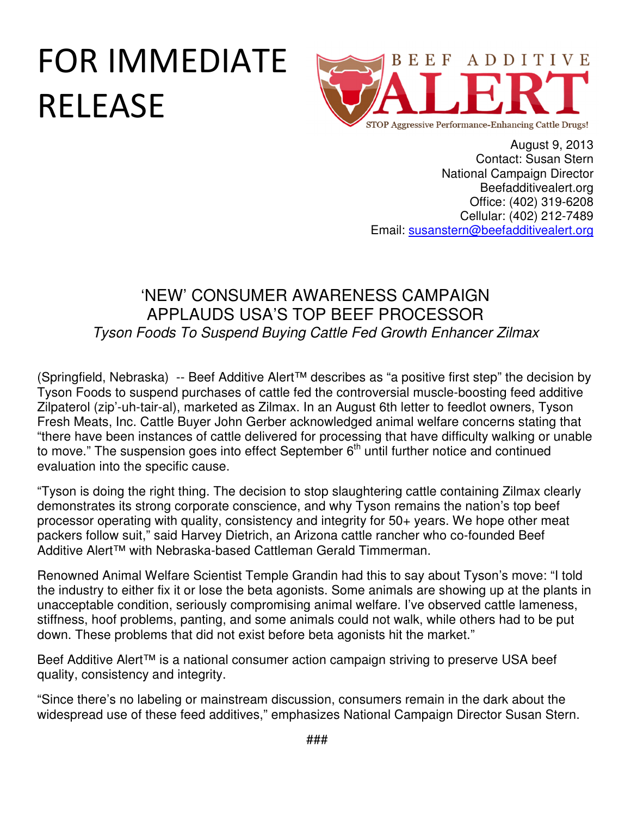## FOR IMMEDIATE RELEASE



August 9, 2013 Contact: Susan Stern National Campaign Director Beefadditivealert.org Office: (402) 319-6208 Cellular: (402) 212-7489 Email: susanstern@beefadditivealert.org

## 'NEW' CONSUMER AWARENESS CAMPAIGN APPLAUDS USA'S TOP BEEF PROCESSOR Tyson Foods To Suspend Buying Cattle Fed Growth Enhancer Zilmax

(Springfield, Nebraska) -- Beef Additive Alert™ describes as "a positive first step" the decision by Tyson Foods to suspend purchases of cattle fed the controversial muscle-boosting feed additive Zilpaterol (zip'-uh-tair-al), marketed as Zilmax. In an August 6th letter to feedlot owners, Tyson Fresh Meats, Inc. Cattle Buyer John Gerber acknowledged animal welfare concerns stating that "there have been instances of cattle delivered for processing that have difficulty walking or unable to move." The suspension goes into effect September  $6<sup>th</sup>$  until further notice and continued evaluation into the specific cause.

"Tyson is doing the right thing. The decision to stop slaughtering cattle containing Zilmax clearly demonstrates its strong corporate conscience, and why Tyson remains the nation's top beef processor operating with quality, consistency and integrity for 50+ years. We hope other meat packers follow suit," said Harvey Dietrich, an Arizona cattle rancher who co-founded Beef Additive Alert™ with Nebraska-based Cattleman Gerald Timmerman.

Renowned Animal Welfare Scientist Temple Grandin had this to say about Tyson's move: "I told the industry to either fix it or lose the beta agonists. Some animals are showing up at the plants in unacceptable condition, seriously compromising animal welfare. I've observed cattle lameness, stiffness, hoof problems, panting, and some animals could not walk, while others had to be put down. These problems that did not exist before beta agonists hit the market."

Beef Additive Alert<sup>™</sup> is a national consumer action campaign striving to preserve USA beef quality, consistency and integrity.

"Since there's no labeling or mainstream discussion, consumers remain in the dark about the widespread use of these feed additives," emphasizes National Campaign Director Susan Stern.